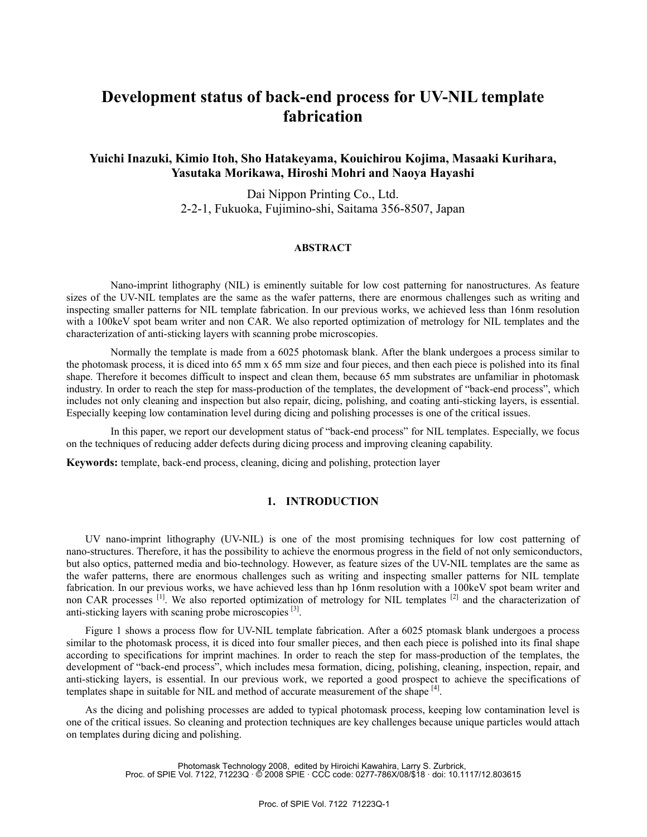# **Development status of back-end process for UV-NIL template fabrication**

# **Yuichi Inazuki, Kimio Itoh, Sho Hatakeyama, Kouichirou Kojima, Masaaki Kurihara, Yasutaka Morikawa, Hiroshi Mohri and Naoya Hayashi**

Dai Nippon Printing Co., Ltd. 2-2-1, Fukuoka, Fujimino-shi, Saitama 356-8507, Japan

### **ABSTRACT**

Nano-imprint lithography (NIL) is eminently suitable for low cost patterning for nanostructures. As feature sizes of the UV-NIL templates are the same as the wafer patterns, there are enormous challenges such as writing and inspecting smaller patterns for NIL template fabrication. In our previous works, we achieved less than 16nm resolution with a 100keV spot beam writer and non CAR. We also reported optimization of metrology for NIL templates and the characterization of anti-sticking layers with scanning probe microscopies.

Normally the template is made from a 6025 photomask blank. After the blank undergoes a process similar to the photomask process, it is diced into 65 mm x 65 mm size and four pieces, and then each piece is polished into its final shape. Therefore it becomes difficult to inspect and clean them, because 65 mm substrates are unfamiliar in photomask industry. In order to reach the step for mass-production of the templates, the development of "back-end process", which includes not only cleaning and inspection but also repair, dicing, polishing, and coating anti-sticking layers, is essential. Especially keeping low contamination level during dicing and polishing processes is one of the critical issues.

In this paper, we report our development status of "back-end process" for NIL templates. Especially, we focus on the techniques of reducing adder defects during dicing process and improving cleaning capability.

**Keywords:** template, back-end process, cleaning, dicing and polishing, protection layer

# **1. INTRODUCTION**

UV nano-imprint lithography (UV-NIL) is one of the most promising techniques for low cost patterning of nano-structures. Therefore, it has the possibility to achieve the enormous progress in the field of not only semiconductors, but also optics, patterned media and bio-technology. However, as feature sizes of the UV-NIL templates are the same as the wafer patterns, there are enormous challenges such as writing and inspecting smaller patterns for NIL template fabrication. In our previous works, we have achieved less than hp 16nm resolution with a 100keV spot beam writer and non CAR processes <sup>[1]</sup>. We also reported optimization of metrology for NIL templates <sup>[2]</sup> and the characterization of anti-sticking layers with scaning probe microscopies [3].

Figure 1 shows a process flow for UV-NIL template fabrication. After a 6025 ptomask blank undergoes a process similar to the photomask process, it is diced into four smaller pieces, and then each piece is polished into its final shape according to specifications for imprint machines. In order to reach the step for mass-production of the templates, the development of "back-end process", which includes mesa formation, dicing, polishing, cleaning, inspection, repair, and anti-sticking layers, is essential. In our previous work, we reported a good prospect to achieve the specifications of templates shape in suitable for NIL and method of accurate measurement of the shape [4].

As the dicing and polishing processes are added to typical photomask process, keeping low contamination level is one of the critical issues. So cleaning and protection techniques are key challenges because unique particles would attach on templates during dicing and polishing.

> Photomask Technology 2008, edited by Hiroichi Kawahira, Larry S. Zurbrick, Proc. of SPIE Vol. 7122, 71223Q · © 2008 SPIE · CCC code: 0277-786X/08/\$18 · doi: 10.1117/12.803615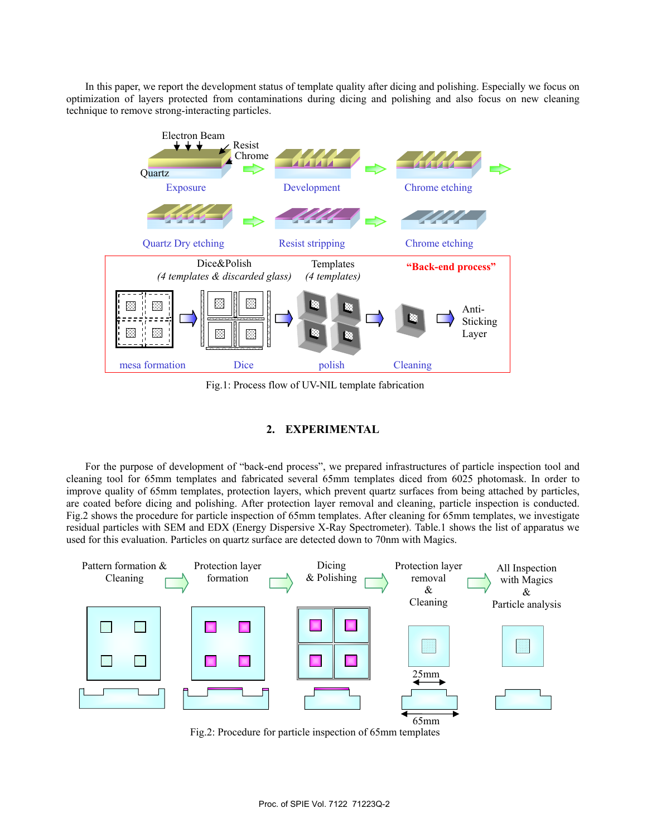In this paper, we report the development status of template quality after dicing and polishing. Especially we focus on optimization of layers protected from contaminations during dicing and polishing and also focus on new cleaning technique to remove strong-interacting particles.



Fig.1: Process flow of UV-NIL template fabrication

# **2. EXPERIMENTAL**

For the purpose of development of "back-end process", we prepared infrastructures of particle inspection tool and cleaning tool for 65mm templates and fabricated several 65mm templates diced from 6025 photomask. In order to improve quality of 65mm templates, protection layers, which prevent quartz surfaces from being attached by particles, are coated before dicing and polishing. After protection layer removal and cleaning, particle inspection is conducted. Fig.2 shows the procedure for particle inspection of 65mm templates. After cleaning for 65mm templates, we investigate residual particles with SEM and EDX (Energy Dispersive X-Ray Spectrometer). Table.1 shows the list of apparatus we used for this evaluation. Particles on quartz surface are detected down to 70nm with Magics.



Fig.2: Procedure for particle inspection of 65mm templates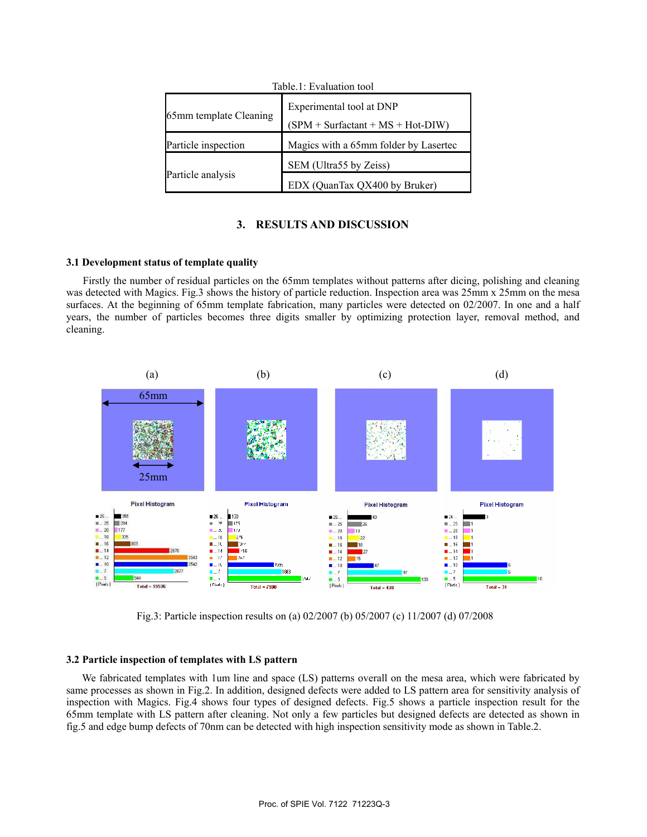| Table.1: Evaluation tool |                                                                 |  |  |  |  |  |  |  |
|--------------------------|-----------------------------------------------------------------|--|--|--|--|--|--|--|
| 65mm template Cleaning   | Experimental tool at DNP<br>$(SPM + Surfaceant + MS + Hot-DIW)$ |  |  |  |  |  |  |  |
| Particle inspection      | Magics with a 65mm folder by Lasertec                           |  |  |  |  |  |  |  |
| Particle analysis        | SEM (Ultra55 by Zeiss)                                          |  |  |  |  |  |  |  |
|                          | EDX (QuanTax QX400 by Bruker)                                   |  |  |  |  |  |  |  |

# **3. RESULTS AND DISCUSSION**

#### **3.1 Development status of template quality**

Firstly the number of residual particles on the 65mm templates without patterns after dicing, polishing and cleaning was detected with Magics. Fig.3 shows the history of particle reduction. Inspection area was 25mm x 25mm on the mesa surfaces. At the beginning of 65mm template fabrication, many particles were detected on 02/2007. In one and a half years, the number of particles becomes three digits smaller by optimizing protection layer, removal method, and cleaning.



Fig.3: Particle inspection results on (a) 02/2007 (b) 05/2007 (c) 11/2007 (d) 07/2008

#### **3.2 Particle inspection of templates with LS pattern**

We fabricated templates with 1um line and space (LS) patterns overall on the mesa area, which were fabricated by same processes as shown in Fig.2. In addition, designed defects were added to LS pattern area for sensitivity analysis of inspection with Magics. Fig.4 shows four types of designed defects. Fig.5 shows a particle inspection result for the 65mm template with LS pattern after cleaning. Not only a few particles but designed defects are detected as shown in fig.5 and edge bump defects of 70nm can be detected with high inspection sensitivity mode as shown in Table.2.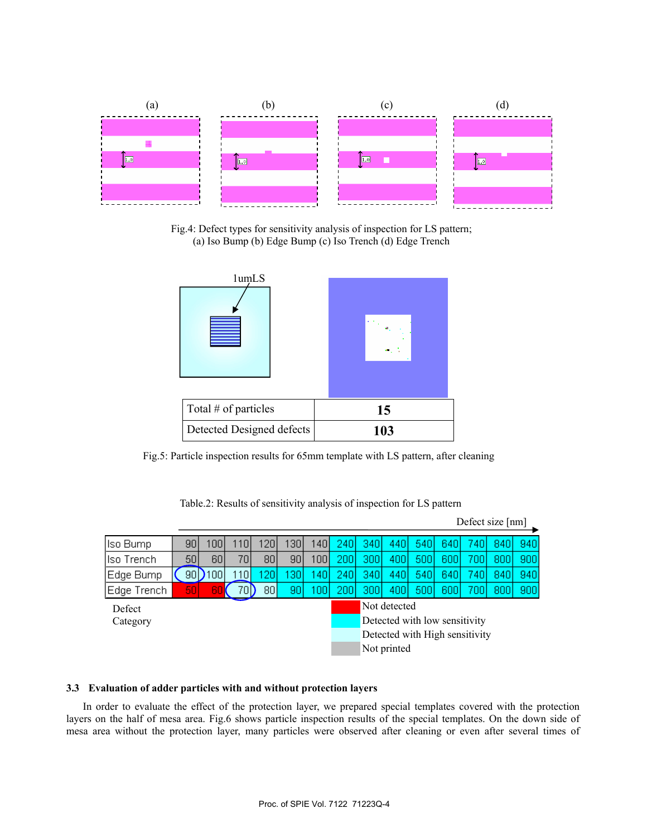

Fig.4: Defect types for sensitivity analysis of inspection for LS pattern; (a) Iso Bump (b) Edge Bump (c) Iso Trench (d) Edge Trench



Fig.5: Particle inspection results for 65mm template with LS pattern, after cleaning

|             |     |     |                 |                  | Defect size [nm] |                  |                                |      |     |     |     |       |     |     |
|-------------|-----|-----|-----------------|------------------|------------------|------------------|--------------------------------|------|-----|-----|-----|-------|-----|-----|
| Iso Bump    | 90  | 100 | 10I             | 120 <sub>k</sub> | 1301             | 140.             | 2401                           | 340I | 440 | 540 | 640 | 740I  | 840 | 940 |
| Iso Trench  | 50  | 60  | 70I             | 80 <sub>1</sub>  | 90               | 100 <sub>1</sub> | 2001                           | 300l | 400 | 500 | 600 | 700   | 800 | 900 |
| Edge Bump   | 90  | 100 | 10 <sub>1</sub> | 20               | 30               | -40              | 2401                           | 340I | 440 | 540 | 640 | 740   | 840 | 940 |
| Edge Trench | 501 | 60  | 70I)            | 80               | 90               | 100              | 2001                           | 3001 | 400 | 500 | 600 | 700 l | 800 | 900 |
| Defect      |     |     |                 |                  |                  |                  | Not detected                   |      |     |     |     |       |     |     |
| Category    |     |     |                 |                  |                  |                  | Detected with low sensitivity  |      |     |     |     |       |     |     |
|             |     |     |                 |                  |                  |                  | Detected with High sensitivity |      |     |     |     |       |     |     |
|             |     |     |                 |                  |                  |                  | Not printed                    |      |     |     |     |       |     |     |

Table.2: Results of sensitivity analysis of inspection for LS pattern

# **3.3 Evaluation of adder particles with and without protection layers**

In order to evaluate the effect of the protection layer, we prepared special templates covered with the protection layers on the half of mesa area. Fig.6 shows particle inspection results of the special templates. On the down side of mesa area without the protection layer, many particles were observed after cleaning or even after several times of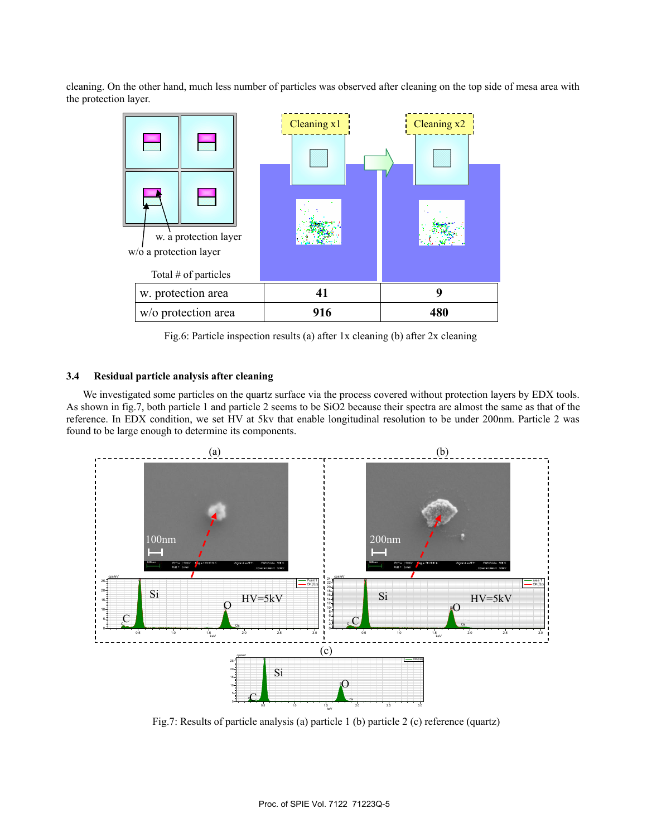cleaning. On the other hand, much less number of particles was observed after cleaning on the top side of mesa area with the protection layer.



Fig.6: Particle inspection results (a) after 1x cleaning (b) after 2x cleaning

#### **3.4 Residual particle analysis after cleaning**

We investigated some particles on the quartz surface via the process covered without protection layers by EDX tools. As shown in fig.7, both particle 1 and particle 2 seems to be SiO2 because their spectra are almost the same as that of the reference. In EDX condition, we set HV at 5kv that enable longitudinal resolution to be under 200nm. Particle 2 was found to be large enough to determine its components.



Fig.7: Results of particle analysis (a) particle 1 (b) particle 2 (c) reference (quartz)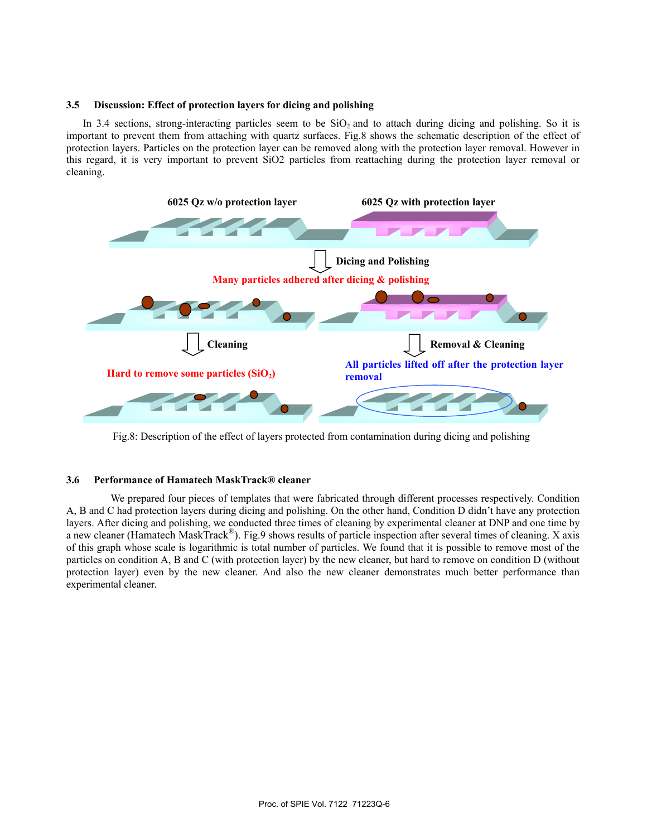### **3.5 Discussion: Effect of protection layers for dicing and polishing**

In 3.4 sections, strong-interacting particles seem to be  $SiO<sub>2</sub>$  and to attach during dicing and polishing. So it is important to prevent them from attaching with quartz surfaces. Fig.8 shows the schematic description of the effect of protection layers. Particles on the protection layer can be removed along with the protection layer removal. However in this regard, it is very important to prevent SiO2 particles from reattaching during the protection layer removal or cleaning.



Fig.8: Description of the effect of layers protected from contamination during dicing and polishing

# **3.6 Performance of Hamatech MaskTrack® cleaner**

 We prepared four pieces of templates that were fabricated through different processes respectively. Condition A, B and C had protection layers during dicing and polishing. On the other hand, Condition D didn't have any protection layers. After dicing and polishing, we conducted three times of cleaning by experimental cleaner at DNP and one time by a new cleaner (Hamatech MaskTrack®). Fig.9 shows results of particle inspection after several times of cleaning. X axis of this graph whose scale is logarithmic is total number of particles. We found that it is possible to remove most of the particles on condition A, B and C (with protection layer) by the new cleaner, but hard to remove on condition D (without protection layer) even by the new cleaner. And also the new cleaner demonstrates much better performance than experimental cleaner.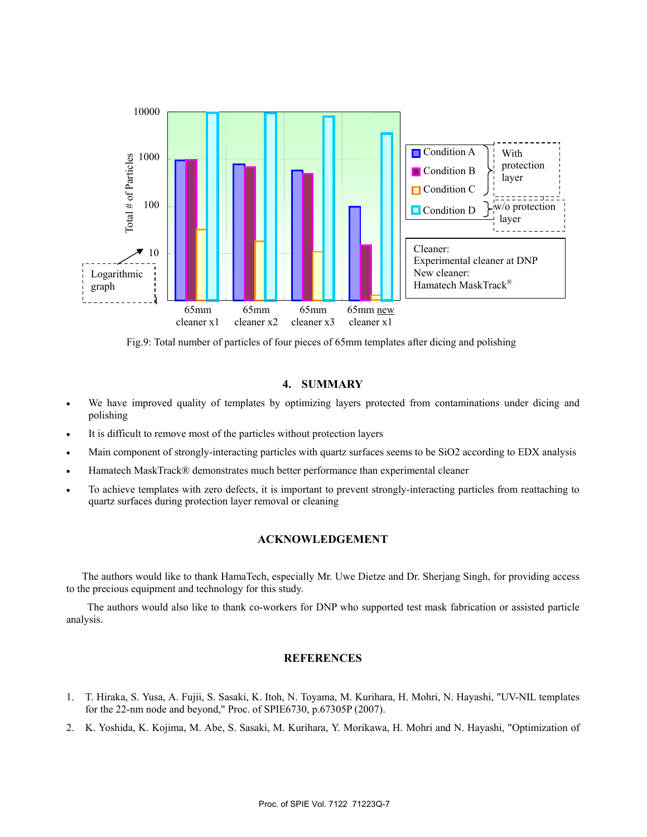

Fig.9: Total number of particles of four pieces of 65mm templates after dicing and polishing

# **4. SUMMARY**

- We have improved quality of templates by optimizing layers protected from contaminations under dicing and polishing
- It is difficult to remove most of the particles without protection layers
- Main component of strongly-interacting particles with quartz surfaces seems to be SiO2 according to EDX analysis
- Hamatech MaskTrack® demonstrates much better performance than experimental cleaner
- To achieve templates with zero defects, it is important to prevent strongly-interacting particles from reattaching to quartz surfaces during protection layer removal or cleaning

# **ACKNOWLEDGEMENT**

The authors would like to thank HamaTech, especially Mr. Uwe Dietze and Dr. Sherjang Singh, for providing access to the precious equipment and technology for this study.

 The authors would also like to thank co-workers for DNP who supported test mask fabrication or assisted particle analysis.

### **REFERENCES**

- 1. T. Hiraka, S. Yusa, A. Fujii, S. Sasaki, K. Itoh, N. Toyama, M. Kurihara, H. Mohri, N. Hayashi, "UV-NIL templates for the 22-nm node and beyond," Proc. of SPIE6730, p.67305P (2007).
- 2. K. Yoshida, K. Kojima, M. Abe, S. Sasaki, M. Kurihara, Y. Morikawa, H. Mohri and N. Hayashi, "Optimization of